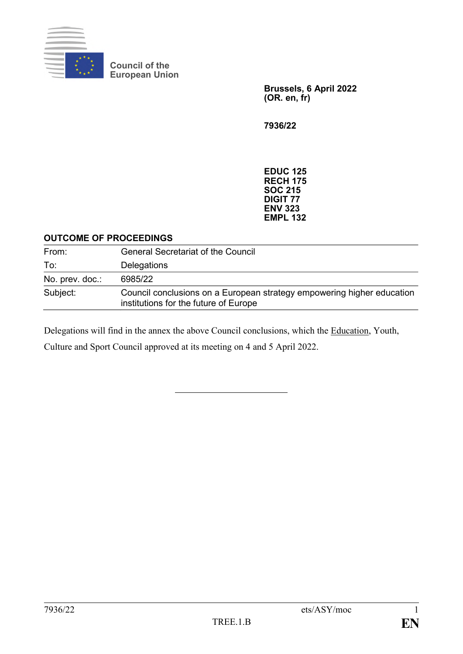

**Council of the European Union**

> **Brussels, 6 April 2022 (OR. en, fr)**

**7936/22**

**EDUC 125 RECH 175 SOC 215 DIGIT 77 ENV 323 EMPL 132**

### **OUTCOME OF PROCEEDINGS**

| From:           | <b>General Secretariat of the Council</b>                                                                       |
|-----------------|-----------------------------------------------------------------------------------------------------------------|
| To:             | Delegations                                                                                                     |
| No. prev. doc.: | 6985/22                                                                                                         |
| Subject:        | Council conclusions on a European strategy empowering higher education<br>institutions for the future of Europe |

Delegations will find in the annex the above Council conclusions, which the Education, Youth,

Culture and Sport Council approved at its meeting on 4 and 5 April 2022.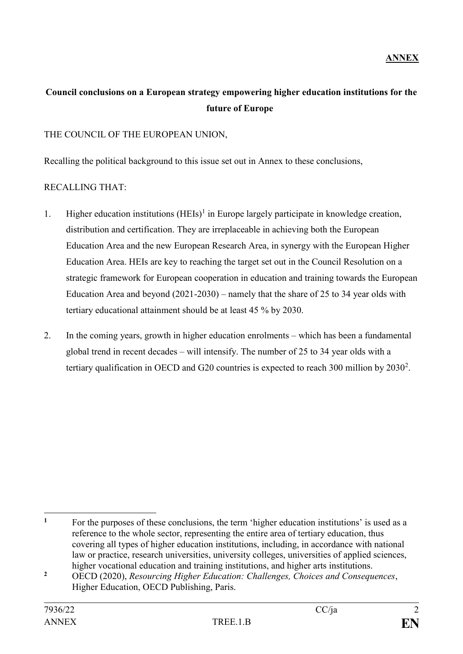## **Council conclusions on a European strategy empowering higher education institutions for the future of Europe**

### THE COUNCIL OF THE EUROPEAN UNION,

Recalling the political background to this issue set out in Annex to these conclusions,

### RECALLING THAT:

- 1. Higher education institutions (HEIs)<sup>1</sup> in Europe largely participate in knowledge creation, distribution and certification. They are irreplaceable in achieving both the European Education Area and the new European Research Area, in synergy with the European Higher Education Area. HEIs are key to reaching the target set out in the Council Resolution on a strategic framework for European cooperation in education and training towards the European Education Area and beyond (2021-2030) – namely that the share of 25 to 34 year olds with tertiary educational attainment should be at least 45 % by 2030.
- 2. In the coming years, growth in higher education enrolments which has been a fundamental global trend in recent decades – will intensify. The number of 25 to 34 year olds with a tertiary qualification in OECD and G20 countries is expected to reach 300 million by  $2030^2$ .

<u>.</u>

<sup>&</sup>lt;sup>1</sup> For the purposes of these conclusions, the term 'higher education institutions' is used as a reference to the whole sector, representing the entire area of tertiary education, thus covering all types of higher education institutions, including, in accordance with national law or practice, research universities, university colleges, universities of applied sciences, higher vocational education and training institutions, and higher arts institutions.

**<sup>2</sup>** OECD (2020), *Resourcing Higher Education: Challenges, Choices and Consequences*, Higher Education, OECD Publishing, Paris.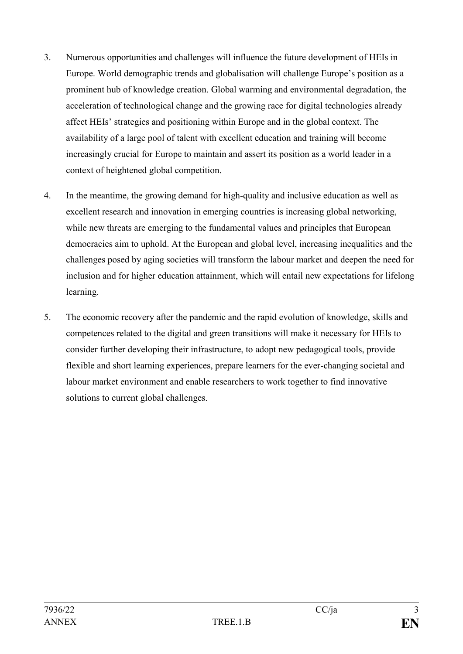- 3. Numerous opportunities and challenges will influence the future development of HEIs in Europe. World demographic trends and globalisation will challenge Europe's position as a prominent hub of knowledge creation. Global warming and environmental degradation, the acceleration of technological change and the growing race for digital technologies already affect HEIs' strategies and positioning within Europe and in the global context. The availability of a large pool of talent with excellent education and training will become increasingly crucial for Europe to maintain and assert its position as a world leader in a context of heightened global competition.
- 4. In the meantime, the growing demand for high-quality and inclusive education as well as excellent research and innovation in emerging countries is increasing global networking, while new threats are emerging to the fundamental values and principles that European democracies aim to uphold. At the European and global level, increasing inequalities and the challenges posed by aging societies will transform the labour market and deepen the need for inclusion and for higher education attainment, which will entail new expectations for lifelong learning.
- 5. The economic recovery after the pandemic and the rapid evolution of knowledge, skills and competences related to the digital and green transitions will make it necessary for HEIs to consider further developing their infrastructure, to adopt new pedagogical tools, provide flexible and short learning experiences, prepare learners for the ever-changing societal and labour market environment and enable researchers to work together to find innovative solutions to current global challenges.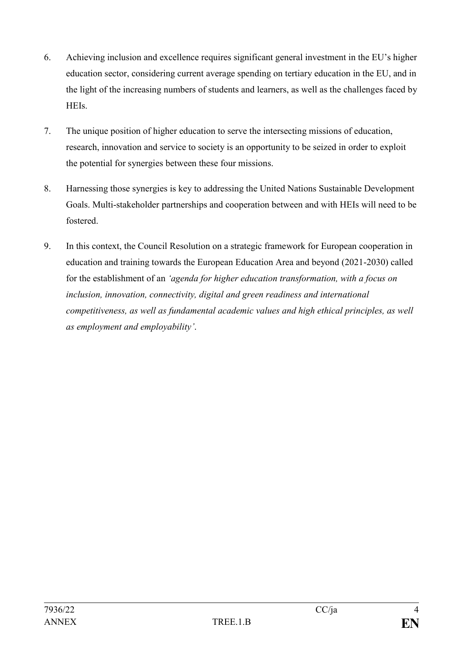- 6. Achieving inclusion and excellence requires significant general investment in the EU's higher education sector, considering current average spending on tertiary education in the EU, and in the light of the increasing numbers of students and learners, as well as the challenges faced by HEIs.
- 7. The unique position of higher education to serve the intersecting missions of education, research, innovation and service to society is an opportunity to be seized in order to exploit the potential for synergies between these four missions.
- 8. Harnessing those synergies is key to addressing the United Nations Sustainable Development Goals. Multi-stakeholder partnerships and cooperation between and with HEIs will need to be fostered.
- 9. In this context, the Council Resolution on a strategic framework for European cooperation in education and training towards the European Education Area and beyond (2021-2030) called for the establishment of an *'agenda for higher education transformation, with a focus on inclusion, innovation, connectivity, digital and green readiness and international competitiveness, as well as fundamental academic values and high ethical principles, as well as employment and employability'*.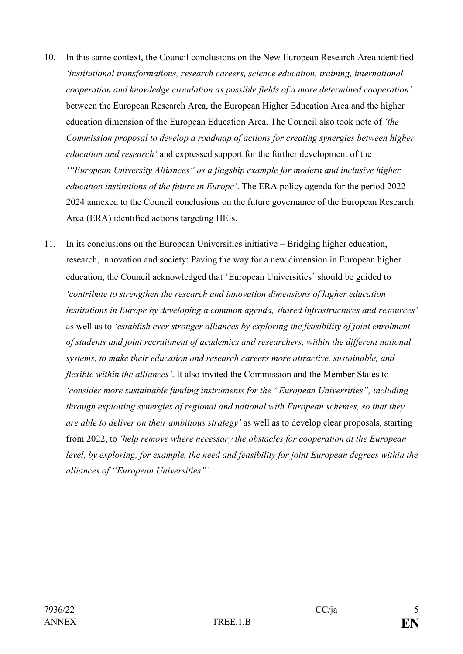- 10. In this same context, the Council conclusions on the New European Research Area identified *'institutional transformations, research careers, science education, training, international cooperation and knowledge circulation as possible fields of a more determined cooperation'* between the European Research Area, the European Higher Education Area and the higher education dimension of the European Education Area. The Council also took note of *'the Commission proposal to develop a roadmap of actions for creating synergies between higher education and research'* and expressed support for the further development of the *'"European University Alliances" as a flagship example for modern and inclusive higher education institutions of the future in Europe'*. The ERA policy agenda for the period 2022- 2024 annexed to the Council conclusions on the future governance of the European Research Area (ERA) identified actions targeting HEIs.
- 11. In its conclusions on the European Universities initiative Bridging higher education, research, innovation and society: Paving the way for a new dimension in European higher education, the Council acknowledged that 'European Universities' should be guided to *'contribute to strengthen the research and innovation dimensions of higher education institutions in Europe by developing a common agenda, shared infrastructures and resources'* as well as to *'establish ever stronger alliances by exploring the feasibility of joint enrolment of students and joint recruitment of academics and researchers, within the different national systems, to make their education and research careers more attractive, sustainable, and flexible within the alliances'*. It also invited the Commission and the Member States to *'consider more sustainable funding instruments for the "European Universities", including through exploiting synergies of regional and national with European schemes, so that they are able to deliver on their ambitious strategy'* as well as to develop clear proposals, starting from 2022, to *'help remove where necessary the obstacles for cooperation at the European level, by exploring, for example, the need and feasibility for joint European degrees within the alliances of "European Universities"'.*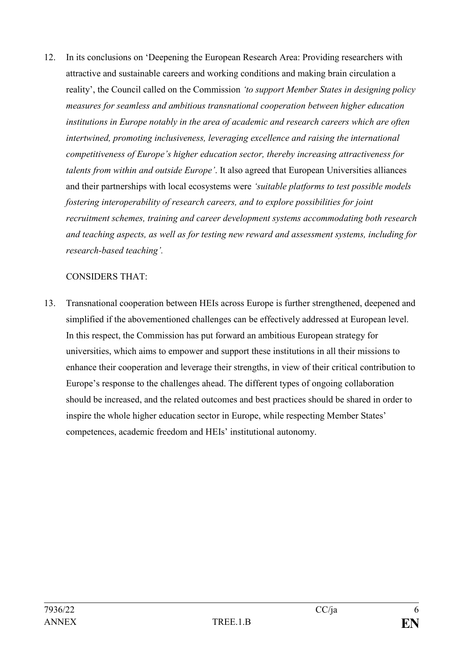12. In its conclusions on 'Deepening the European Research Area: Providing researchers with attractive and sustainable careers and working conditions and making brain circulation a reality', the Council called on the Commission *'to support Member States in designing policy measures for seamless and ambitious transnational cooperation between higher education institutions in Europe notably in the area of academic and research careers which are often intertwined, promoting inclusiveness, leveraging excellence and raising the international competitiveness of Europe's higher education sector, thereby increasing attractiveness for talents from within and outside Europe'*. It also agreed that European Universities alliances and their partnerships with local ecosystems were *'suitable platforms to test possible models fostering interoperability of research careers, and to explore possibilities for joint recruitment schemes, training and career development systems accommodating both research and teaching aspects, as well as for testing new reward and assessment systems, including for research-based teaching'.*

### CONSIDERS THAT:

13. Transnational cooperation between HEIs across Europe is further strengthened, deepened and simplified if the abovementioned challenges can be effectively addressed at European level. In this respect, the Commission has put forward an ambitious European strategy for universities, which aims to empower and support these institutions in all their missions to enhance their cooperation and leverage their strengths, in view of their critical contribution to Europe's response to the challenges ahead. The different types of ongoing collaboration should be increased, and the related outcomes and best practices should be shared in order to inspire the whole higher education sector in Europe, while respecting Member States' competences, academic freedom and HEIs' institutional autonomy.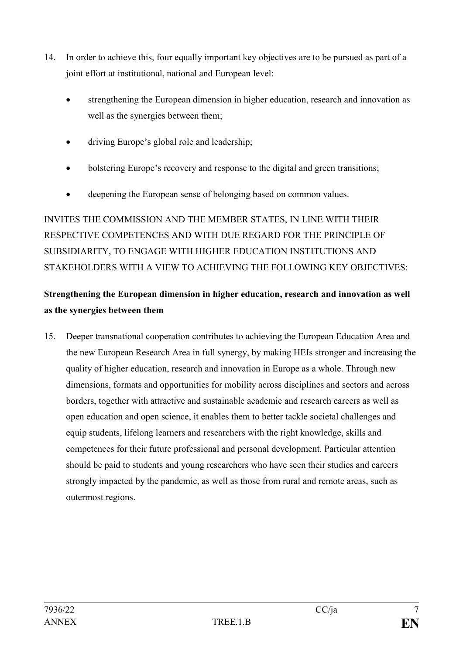- 14. In order to achieve this, four equally important key objectives are to be pursued as part of a joint effort at institutional, national and European level:
	- strengthening the European dimension in higher education, research and innovation as well as the synergies between them;
	- driving Europe's global role and leadership;
	- bolstering Europe's recovery and response to the digital and green transitions;
	- deepening the European sense of belonging based on common values.

INVITES THE COMMISSION AND THE MEMBER STATES, IN LINE WITH THEIR RESPECTIVE COMPETENCES AND WITH DUE REGARD FOR THE PRINCIPLE OF SUBSIDIARITY, TO ENGAGE WITH HIGHER EDUCATION INSTITUTIONS AND STAKEHOLDERS WITH A VIEW TO ACHIEVING THE FOLLOWING KEY OBJECTIVES:

# **Strengthening the European dimension in higher education, research and innovation as well as the synergies between them**

15. Deeper transnational cooperation contributes to achieving the European Education Area and the new European Research Area in full synergy, by making HEIs stronger and increasing the quality of higher education, research and innovation in Europe as a whole. Through new dimensions, formats and opportunities for mobility across disciplines and sectors and across borders, together with attractive and sustainable academic and research careers as well as open education and open science, it enables them to better tackle societal challenges and equip students, lifelong learners and researchers with the right knowledge, skills and competences for their future professional and personal development. Particular attention should be paid to students and young researchers who have seen their studies and careers strongly impacted by the pandemic, as well as those from rural and remote areas, such as outermost regions.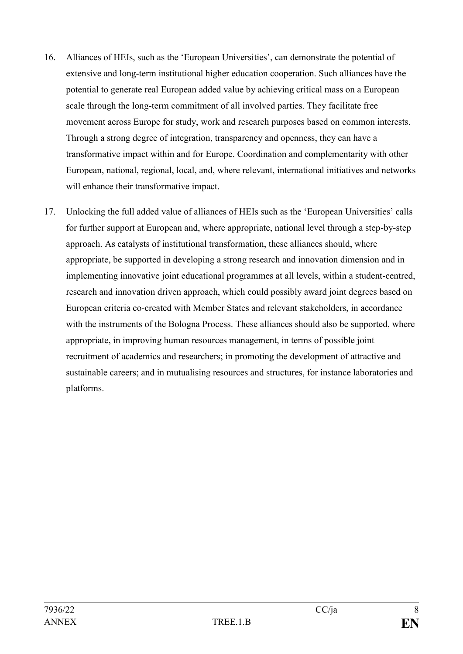- 16. Alliances of HEIs, such as the 'European Universities', can demonstrate the potential of extensive and long-term institutional higher education cooperation. Such alliances have the potential to generate real European added value by achieving critical mass on a European scale through the long-term commitment of all involved parties. They facilitate free movement across Europe for study, work and research purposes based on common interests. Through a strong degree of integration, transparency and openness, they can have a transformative impact within and for Europe. Coordination and complementarity with other European, national, regional, local, and, where relevant, international initiatives and networks will enhance their transformative impact.
- 17. Unlocking the full added value of alliances of HEIs such as the 'European Universities' calls for further support at European and, where appropriate, national level through a step-by-step approach. As catalysts of institutional transformation, these alliances should, where appropriate, be supported in developing a strong research and innovation dimension and in implementing innovative joint educational programmes at all levels, within a student-centred, research and innovation driven approach, which could possibly award joint degrees based on European criteria co-created with Member States and relevant stakeholders, in accordance with the instruments of the Bologna Process. These alliances should also be supported, where appropriate, in improving human resources management, in terms of possible joint recruitment of academics and researchers; in promoting the development of attractive and sustainable careers; and in mutualising resources and structures, for instance laboratories and platforms.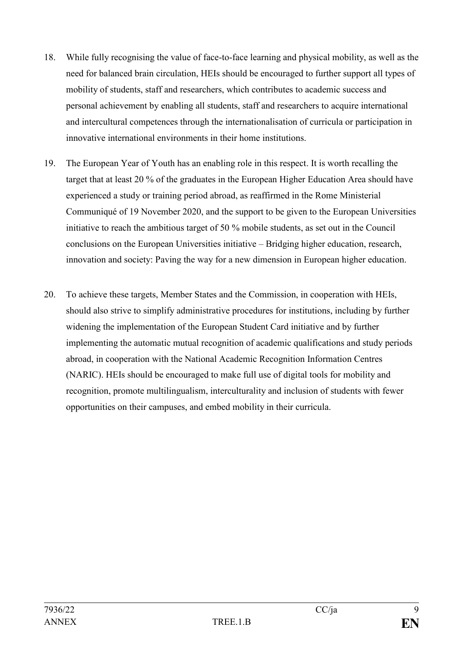- 18. While fully recognising the value of face-to-face learning and physical mobility, as well as the need for balanced brain circulation, HEIs should be encouraged to further support all types of mobility of students, staff and researchers, which contributes to academic success and personal achievement by enabling all students, staff and researchers to acquire international and intercultural competences through the internationalisation of curricula or participation in innovative international environments in their home institutions.
- 19. The European Year of Youth has an enabling role in this respect. It is worth recalling the target that at least 20 % of the graduates in the European Higher Education Area should have experienced a study or training period abroad, as reaffirmed in the Rome Ministerial Communiqué of 19 November 2020, and the support to be given to the European Universities initiative to reach the ambitious target of 50 % mobile students, as set out in the Council conclusions on the European Universities initiative – Bridging higher education, research, innovation and society: Paving the way for a new dimension in European higher education.
- 20. To achieve these targets, Member States and the Commission, in cooperation with HEIs, should also strive to simplify administrative procedures for institutions, including by further widening the implementation of the European Student Card initiative and by further implementing the automatic mutual recognition of academic qualifications and study periods abroad, in cooperation with the National Academic Recognition Information Centres (NARIC). HEIs should be encouraged to make full use of digital tools for mobility and recognition, promote multilingualism, interculturality and inclusion of students with fewer opportunities on their campuses, and embed mobility in their curricula.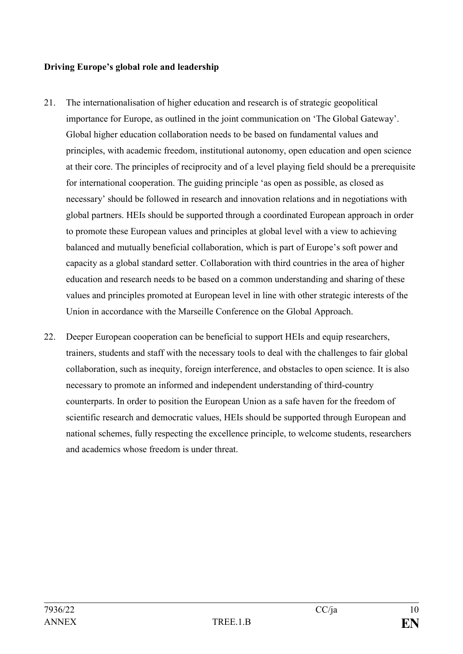### **Driving Europe's global role and leadership**

- 21. The internationalisation of higher education and research is of strategic geopolitical importance for Europe, as outlined in the joint communication on 'The Global Gateway'. Global higher education collaboration needs to be based on fundamental values and principles, with academic freedom, institutional autonomy, open education and open science at their core. The principles of reciprocity and of a level playing field should be a prerequisite for international cooperation. The guiding principle 'as open as possible, as closed as necessary' should be followed in research and innovation relations and in negotiations with global partners. HEIs should be supported through a coordinated European approach in order to promote these European values and principles at global level with a view to achieving balanced and mutually beneficial collaboration, which is part of Europe's soft power and capacity as a global standard setter. Collaboration with third countries in the area of higher education and research needs to be based on a common understanding and sharing of these values and principles promoted at European level in line with other strategic interests of the Union in accordance with the Marseille Conference on the Global Approach.
- 22. Deeper European cooperation can be beneficial to support HEIs and equip researchers, trainers, students and staff with the necessary tools to deal with the challenges to fair global collaboration, such as inequity, foreign interference, and obstacles to open science. It is also necessary to promote an informed and independent understanding of third-country counterparts. In order to position the European Union as a safe haven for the freedom of scientific research and democratic values, HEIs should be supported through European and national schemes, fully respecting the excellence principle, to welcome students, researchers and academics whose freedom is under threat.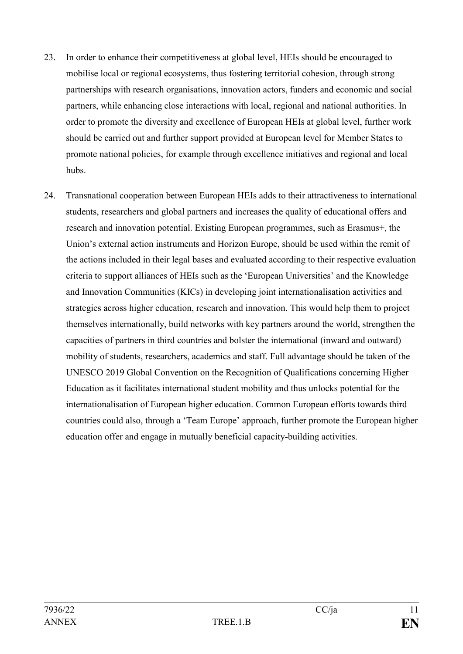- 23. In order to enhance their competitiveness at global level, HEIs should be encouraged to mobilise local or regional ecosystems, thus fostering territorial cohesion, through strong partnerships with research organisations, innovation actors, funders and economic and social partners, while enhancing close interactions with local, regional and national authorities. In order to promote the diversity and excellence of European HEIs at global level, further work should be carried out and further support provided at European level for Member States to promote national policies, for example through excellence initiatives and regional and local hubs.
- 24. Transnational cooperation between European HEIs adds to their attractiveness to international students, researchers and global partners and increases the quality of educational offers and research and innovation potential. Existing European programmes, such as Erasmus+, the Union's external action instruments and Horizon Europe, should be used within the remit of the actions included in their legal bases and evaluated according to their respective evaluation criteria to support alliances of HEIs such as the 'European Universities' and the Knowledge and Innovation Communities (KICs) in developing joint internationalisation activities and strategies across higher education, research and innovation. This would help them to project themselves internationally, build networks with key partners around the world, strengthen the capacities of partners in third countries and bolster the international (inward and outward) mobility of students, researchers, academics and staff. Full advantage should be taken of the UNESCO 2019 Global Convention on the Recognition of Qualifications concerning Higher Education as it facilitates international student mobility and thus unlocks potential for the internationalisation of European higher education. Common European efforts towards third countries could also, through a 'Team Europe' approach, further promote the European higher education offer and engage in mutually beneficial capacity-building activities.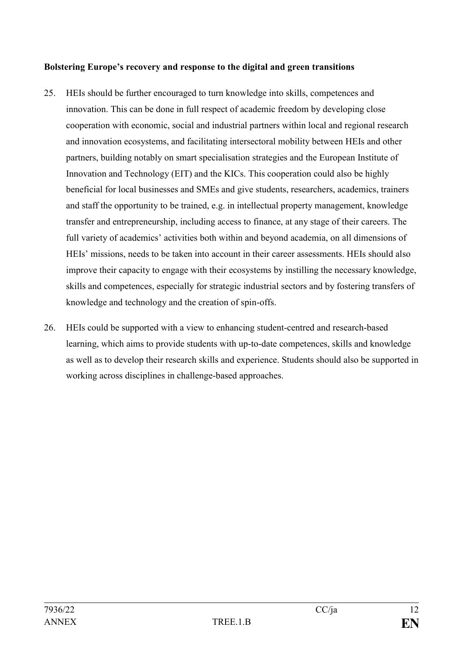### **Bolstering Europe's recovery and response to the digital and green transitions**

- 25. HEIs should be further encouraged to turn knowledge into skills, competences and innovation. This can be done in full respect of academic freedom by developing close cooperation with economic, social and industrial partners within local and regional research and innovation ecosystems, and facilitating intersectoral mobility between HEIs and other partners, building notably on smart specialisation strategies and the European Institute of Innovation and Technology (EIT) and the KICs. This cooperation could also be highly beneficial for local businesses and SMEs and give students, researchers, academics, trainers and staff the opportunity to be trained, e.g. in intellectual property management, knowledge transfer and entrepreneurship, including access to finance, at any stage of their careers. The full variety of academics' activities both within and beyond academia, on all dimensions of HEIs' missions, needs to be taken into account in their career assessments. HEIs should also improve their capacity to engage with their ecosystems by instilling the necessary knowledge, skills and competences, especially for strategic industrial sectors and by fostering transfers of knowledge and technology and the creation of spin-offs.
- 26. HEIs could be supported with a view to enhancing student-centred and research-based learning, which aims to provide students with up-to-date competences, skills and knowledge as well as to develop their research skills and experience. Students should also be supported in working across disciplines in challenge-based approaches.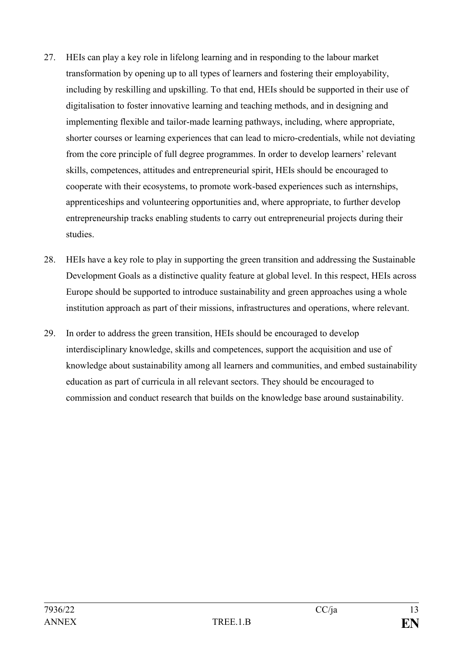- 27. HEIs can play a key role in lifelong learning and in responding to the labour market transformation by opening up to all types of learners and fostering their employability, including by reskilling and upskilling. To that end, HEIs should be supported in their use of digitalisation to foster innovative learning and teaching methods, and in designing and implementing flexible and tailor-made learning pathways, including, where appropriate, shorter courses or learning experiences that can lead to micro-credentials, while not deviating from the core principle of full degree programmes. In order to develop learners' relevant skills, competences, attitudes and entrepreneurial spirit, HEIs should be encouraged to cooperate with their ecosystems, to promote work-based experiences such as internships, apprenticeships and volunteering opportunities and, where appropriate, to further develop entrepreneurship tracks enabling students to carry out entrepreneurial projects during their studies.
- 28. HEIs have a key role to play in supporting the green transition and addressing the Sustainable Development Goals as a distinctive quality feature at global level. In this respect, HEIs across Europe should be supported to introduce sustainability and green approaches using a whole institution approach as part of their missions, infrastructures and operations, where relevant.
- 29. In order to address the green transition, HEIs should be encouraged to develop interdisciplinary knowledge, skills and competences, support the acquisition and use of knowledge about sustainability among all learners and communities, and embed sustainability education as part of curricula in all relevant sectors. They should be encouraged to commission and conduct research that builds on the knowledge base around sustainability.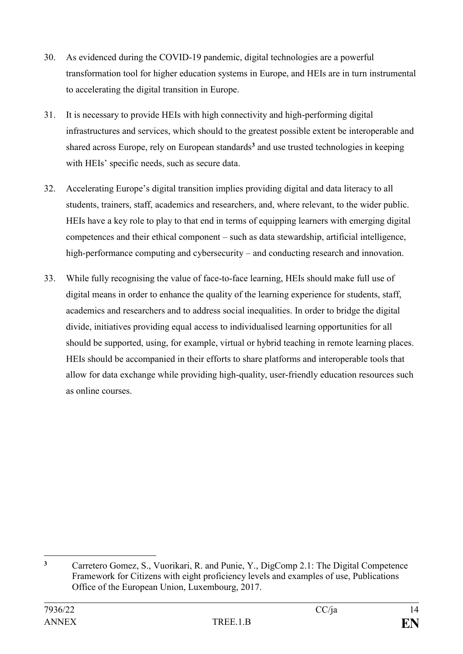- 30. As evidenced during the COVID-19 pandemic, digital technologies are a powerful transformation tool for higher education systems in Europe, and HEIs are in turn instrumental to accelerating the digital transition in Europe.
- 31. It is necessary to provide HEIs with high connectivity and high-performing digital infrastructures and services, which should to the greatest possible extent be interoperable and shared across Europe, rely on European standards**<sup>3</sup>** and use trusted technologies in keeping with HEIs' specific needs, such as secure data.
- 32. Accelerating Europe's digital transition implies providing digital and data literacy to all students, trainers, staff, academics and researchers, and, where relevant, to the wider public. HEIs have a key role to play to that end in terms of equipping learners with emerging digital competences and their ethical component – such as data stewardship, artificial intelligence, high-performance computing and cybersecurity – and conducting research and innovation.
- 33. While fully recognising the value of face-to-face learning, HEIs should make full use of digital means in order to enhance the quality of the learning experience for students, staff, academics and researchers and to address social inequalities. In order to bridge the digital divide, initiatives providing equal access to individualised learning opportunities for all should be supported, using, for example, virtual or hybrid teaching in remote learning places. HEIs should be accompanied in their efforts to share platforms and interoperable tools that allow for data exchange while providing high-quality, user-friendly education resources such as online courses.

<sup>1</sup> **<sup>3</sup>** Carretero Gomez, S., Vuorikari, R. and Punie, Y., DigComp 2.1: The Digital Competence Framework for Citizens with eight proficiency levels and examples of use, Publications Office of the European Union, Luxembourg, 2017.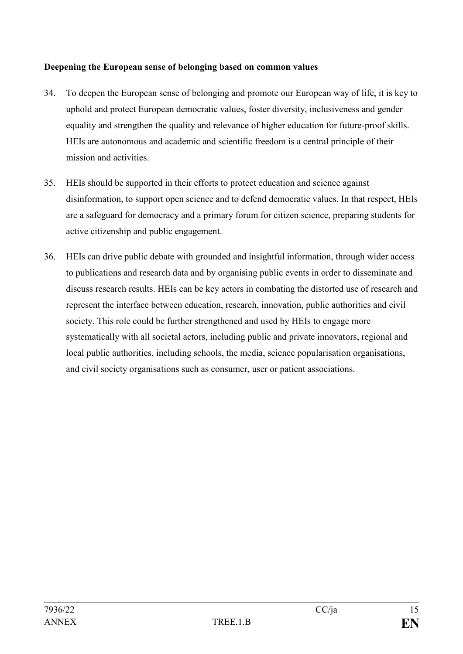### **Deepening the European sense of belonging based on common values**

- 34. To deepen the European sense of belonging and promote our European way of life, it is key to uphold and protect European democratic values, foster diversity, inclusiveness and gender equality and strengthen the quality and relevance of higher education for future-proof skills. HEIs are autonomous and academic and scientific freedom is a central principle of their mission and activities.
- 35. HEIs should be supported in their efforts to protect education and science against disinformation, to support open science and to defend democratic values. In that respect, HEIs are a safeguard for democracy and a primary forum for citizen science, preparing students for active citizenship and public engagement.
- 36. HEIs can drive public debate with grounded and insightful information, through wider access to publications and research data and by organising public events in order to disseminate and discuss research results. HEIs can be key actors in combating the distorted use of research and represent the interface between education, research, innovation, public authorities and civil society. This role could be further strengthened and used by HEIs to engage more systematically with all societal actors, including public and private innovators, regional and local public authorities, including schools, the media, science popularisation organisations, and civil society organisations such as consumer, user or patient associations.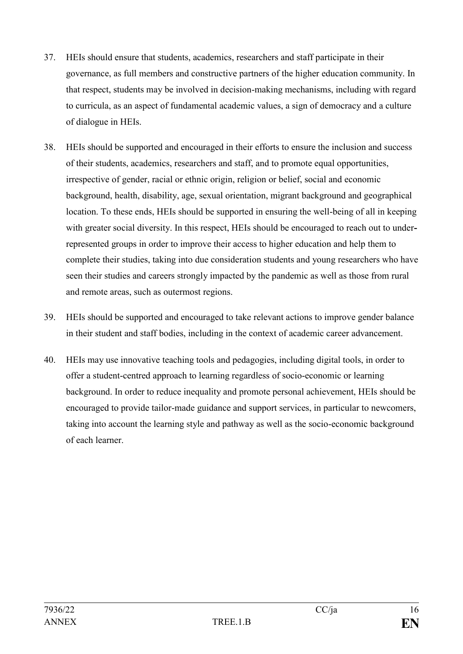- 37. HEIs should ensure that students, academics, researchers and staff participate in their governance, as full members and constructive partners of the higher education community. In that respect, students may be involved in decision-making mechanisms, including with regard to curricula, as an aspect of fundamental academic values, a sign of democracy and a culture of dialogue in HEIs.
- 38. HEIs should be supported and encouraged in their efforts to ensure the inclusion and success of their students, academics, researchers and staff, and to promote equal opportunities, irrespective of gender, racial or ethnic origin, religion or belief, social and economic background, health, disability, age, sexual orientation, migrant background and geographical location. To these ends, HEIs should be supported in ensuring the well-being of all in keeping with greater social diversity. In this respect, HEIs should be encouraged to reach out to underrepresented groups in order to improve their access to higher education and help them to complete their studies, taking into due consideration students and young researchers who have seen their studies and careers strongly impacted by the pandemic as well as those from rural and remote areas, such as outermost regions.
- 39. HEIs should be supported and encouraged to take relevant actions to improve gender balance in their student and staff bodies, including in the context of academic career advancement.
- 40. HEIs may use innovative teaching tools and pedagogies, including digital tools, in order to offer a student-centred approach to learning regardless of socio-economic or learning background. In order to reduce inequality and promote personal achievement, HEIs should be encouraged to provide tailor-made guidance and support services, in particular to newcomers, taking into account the learning style and pathway as well as the socio-economic background of each learner.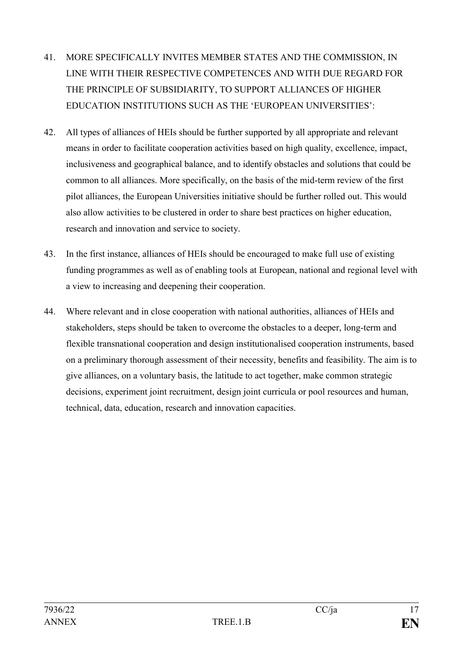- 41. MORE SPECIFICALLY INVITES MEMBER STATES AND THE COMMISSION, IN LINE WITH THEIR RESPECTIVE COMPETENCES AND WITH DUE REGARD FOR THE PRINCIPLE OF SUBSIDIARITY, TO SUPPORT ALLIANCES OF HIGHER EDUCATION INSTITUTIONS SUCH AS THE 'EUROPEAN UNIVERSITIES':
- 42. All types of alliances of HEIs should be further supported by all appropriate and relevant means in order to facilitate cooperation activities based on high quality, excellence, impact, inclusiveness and geographical balance, and to identify obstacles and solutions that could be common to all alliances. More specifically, on the basis of the mid-term review of the first pilot alliances, the European Universities initiative should be further rolled out. This would also allow activities to be clustered in order to share best practices on higher education, research and innovation and service to society.
- 43. In the first instance, alliances of HEIs should be encouraged to make full use of existing funding programmes as well as of enabling tools at European, national and regional level with a view to increasing and deepening their cooperation.
- 44. Where relevant and in close cooperation with national authorities, alliances of HEIs and stakeholders, steps should be taken to overcome the obstacles to a deeper, long-term and flexible transnational cooperation and design institutionalised cooperation instruments, based on a preliminary thorough assessment of their necessity, benefits and feasibility. The aim is to give alliances, on a voluntary basis, the latitude to act together, make common strategic decisions, experiment joint recruitment, design joint curricula or pool resources and human, technical, data, education, research and innovation capacities.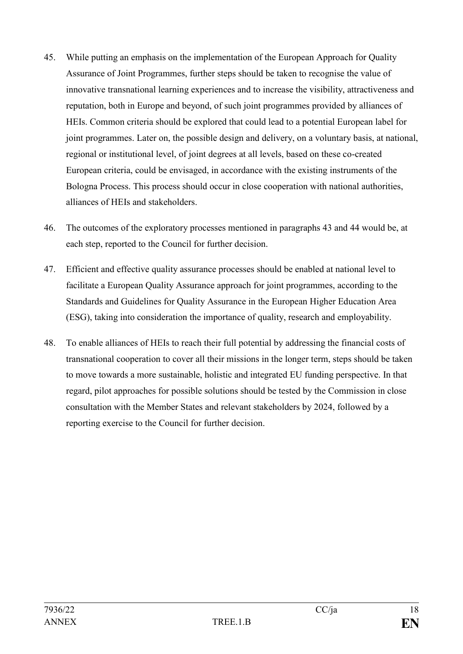- 45. While putting an emphasis on the implementation of the European Approach for Quality Assurance of Joint Programmes, further steps should be taken to recognise the value of innovative transnational learning experiences and to increase the visibility, attractiveness and reputation, both in Europe and beyond, of such joint programmes provided by alliances of HEIs. Common criteria should be explored that could lead to a potential European label for joint programmes. Later on, the possible design and delivery, on a voluntary basis, at national, regional or institutional level, of joint degrees at all levels, based on these co-created European criteria, could be envisaged, in accordance with the existing instruments of the Bologna Process. This process should occur in close cooperation with national authorities, alliances of HEIs and stakeholders.
- 46. The outcomes of the exploratory processes mentioned in paragraphs 43 and 44 would be, at each step, reported to the Council for further decision.
- 47. Efficient and effective quality assurance processes should be enabled at national level to facilitate a European Quality Assurance approach for joint programmes, according to the Standards and Guidelines for Quality Assurance in the European Higher Education Area (ESG), taking into consideration the importance of quality, research and employability.
- 48. To enable alliances of HEIs to reach their full potential by addressing the financial costs of transnational cooperation to cover all their missions in the longer term, steps should be taken to move towards a more sustainable, holistic and integrated EU funding perspective. In that regard, pilot approaches for possible solutions should be tested by the Commission in close consultation with the Member States and relevant stakeholders by 2024, followed by a reporting exercise to the Council for further decision.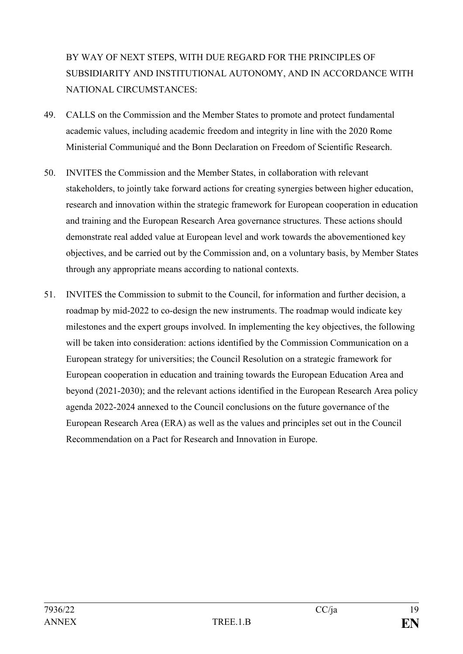# BY WAY OF NEXT STEPS, WITH DUE REGARD FOR THE PRINCIPLES OF SUBSIDIARITY AND INSTITUTIONAL AUTONOMY, AND IN ACCORDANCE WITH NATIONAL CIRCUMSTANCES:

- 49. CALLS on the Commission and the Member States to promote and protect fundamental academic values, including academic freedom and integrity in line with the 2020 Rome Ministerial Communiqué and the Bonn Declaration on Freedom of Scientific Research.
- 50. INVITES the Commission and the Member States, in collaboration with relevant stakeholders, to jointly take forward actions for creating synergies between higher education, research and innovation within the strategic framework for European cooperation in education and training and the European Research Area governance structures. These actions should demonstrate real added value at European level and work towards the abovementioned key objectives, and be carried out by the Commission and, on a voluntary basis, by Member States through any appropriate means according to national contexts.
- 51. INVITES the Commission to submit to the Council, for information and further decision, a roadmap by mid-2022 to co-design the new instruments. The roadmap would indicate key milestones and the expert groups involved. In implementing the key objectives, the following will be taken into consideration: actions identified by the Commission Communication on a European strategy for universities; the Council Resolution on a strategic framework for European cooperation in education and training towards the European Education Area and beyond (2021-2030); and the relevant actions identified in the European Research Area policy agenda 2022-2024 annexed to the Council conclusions on the future governance of the European Research Area (ERA) as well as the values and principles set out in the Council Recommendation on a Pact for Research and Innovation in Europe.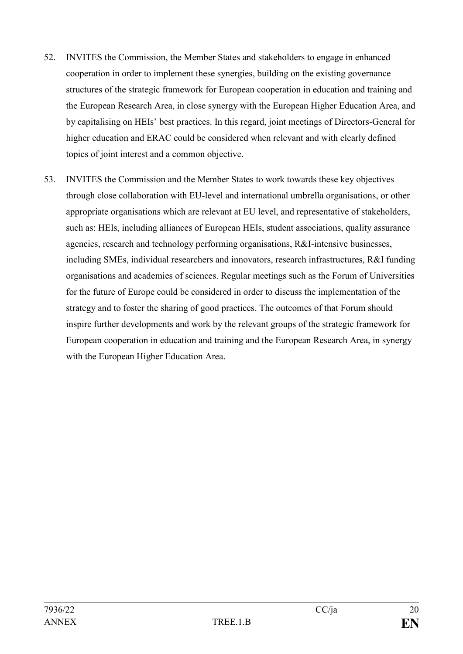- 52. INVITES the Commission, the Member States and stakeholders to engage in enhanced cooperation in order to implement these synergies, building on the existing governance structures of the strategic framework for European cooperation in education and training and the European Research Area, in close synergy with the European Higher Education Area, and by capitalising on HEIs' best practices. In this regard, joint meetings of Directors-General for higher education and ERAC could be considered when relevant and with clearly defined topics of joint interest and a common objective.
- 53. INVITES the Commission and the Member States to work towards these key objectives through close collaboration with EU-level and international umbrella organisations, or other appropriate organisations which are relevant at EU level, and representative of stakeholders, such as: HEIs, including alliances of European HEIs, student associations, quality assurance agencies, research and technology performing organisations, R&I-intensive businesses, including SMEs, individual researchers and innovators, research infrastructures, R&I funding organisations and academies of sciences. Regular meetings such as the Forum of Universities for the future of Europe could be considered in order to discuss the implementation of the strategy and to foster the sharing of good practices. The outcomes of that Forum should inspire further developments and work by the relevant groups of the strategic framework for European cooperation in education and training and the European Research Area, in synergy with the European Higher Education Area.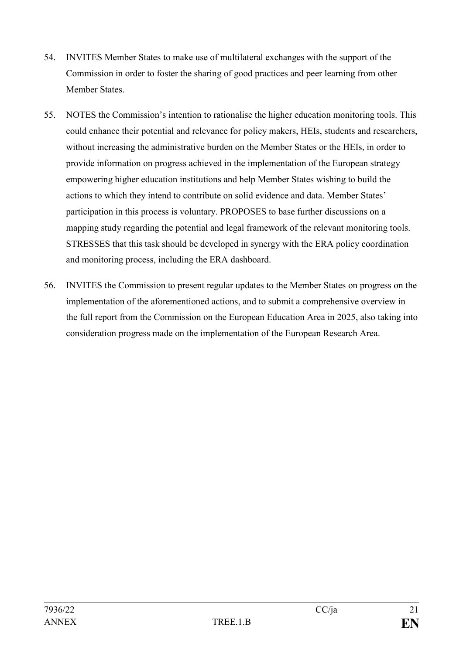- 54. INVITES Member States to make use of multilateral exchanges with the support of the Commission in order to foster the sharing of good practices and peer learning from other Member States.
- 55. NOTES the Commission's intention to rationalise the higher education monitoring tools. This could enhance their potential and relevance for policy makers, HEIs, students and researchers, without increasing the administrative burden on the Member States or the HEIs, in order to provide information on progress achieved in the implementation of the European strategy empowering higher education institutions and help Member States wishing to build the actions to which they intend to contribute on solid evidence and data. Member States' participation in this process is voluntary. PROPOSES to base further discussions on a mapping study regarding the potential and legal framework of the relevant monitoring tools. STRESSES that this task should be developed in synergy with the ERA policy coordination and monitoring process, including the ERA dashboard.
- 56. INVITES the Commission to present regular updates to the Member States on progress on the implementation of the aforementioned actions, and to submit a comprehensive overview in the full report from the Commission on the European Education Area in 2025, also taking into consideration progress made on the implementation of the European Research Area.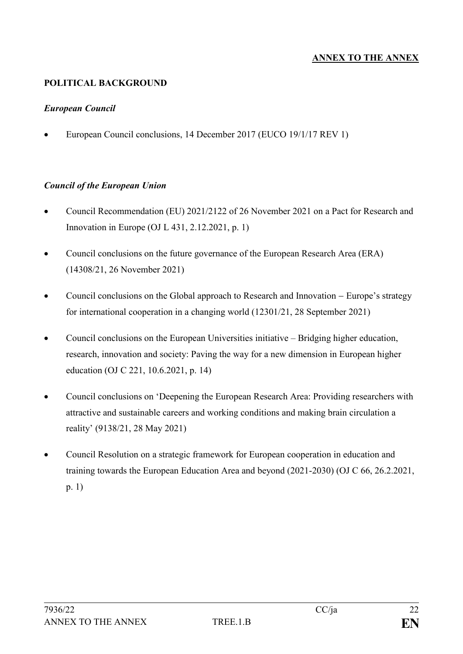## **ANNEX TO THE ANNEX**

### **POLITICAL BACKGROUND**

#### *European Council*

• European Council conclusions, 14 December 2017 (EUCO 19/1/17 REV 1)

#### *Council of the European Union*

- Council Recommendation (EU) 2021/2122 of 26 November 2021 on a Pact for Research and Innovation in Europe (OJ L 431, 2.12.2021, p. 1)
- Council conclusions on the future governance of the European Research Area (ERA) (14308/21, 26 November 2021)
- Council conclusions on the Global approach to Research and Innovation Europe's strategy for international cooperation in a changing world (12301/21, 28 September 2021)
- Council conclusions on the European Universities initiative Bridging higher education, research, innovation and society: Paving the way for a new dimension in European higher education (OJ C 221, 10.6.2021, p. 14)
- Council conclusions on 'Deepening the European Research Area: Providing researchers with attractive and sustainable careers and working conditions and making brain circulation a reality' (9138/21, 28 May 2021)
- Council Resolution on a strategic framework for European cooperation in education and training towards the European Education Area and beyond (2021-2030) (OJ C 66, 26.2.2021, p. 1)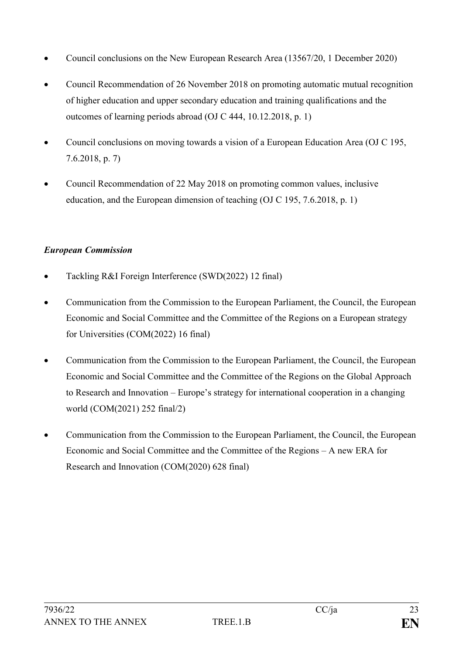- Council conclusions on the New European Research Area (13567/20, 1 December 2020)
- Council Recommendation of 26 November 2018 on promoting automatic mutual recognition of higher education and upper secondary education and training qualifications and the outcomes of learning periods abroad (OJ C 444, 10.12.2018, p. 1)
- Council conclusions on moving towards a vision of a European Education Area (OJ C 195, 7.6.2018, p. 7)
- Council Recommendation of 22 May 2018 on promoting common values, inclusive education, and the European dimension of teaching (OJ C 195, 7.6.2018, p. 1)

### *European Commission*

- Tackling R&I Foreign Interference (SWD(2022) 12 final)
- Communication from the Commission to the European Parliament, the Council, the European Economic and Social Committee and the Committee of the Regions on a European strategy for Universities (COM(2022) 16 final)
- Communication from the Commission to the European Parliament, the Council, the European Economic and Social Committee and the Committee of the Regions on the Global Approach to Research and Innovation – Europe's strategy for international cooperation in a changing world (COM(2021) 252 final/2)
- Communication from the Commission to the European Parliament, the Council, the European Economic and Social Committee and the Committee of the Regions – A new ERA for Research and Innovation (COM(2020) 628 final)